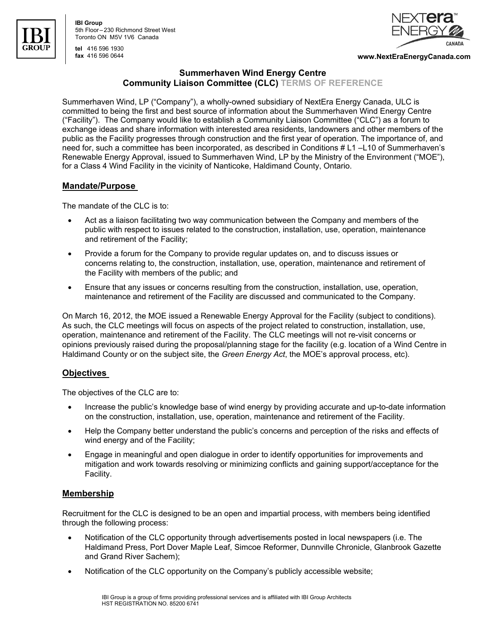

**IBI Group** 5th Floor – 230 Richmond Street West Toronto ON M5V 1V6 Canada





**fax** 416 596 0644 **www.NextEraEnergyCanada.com** 

# **Summerhaven Wind Energy Centre Community Liaison Committee (CLC) TERMS OF REFERENCE**

Summerhaven Wind, LP ("Company"), a wholly-owned subsidiary of NextEra Energy Canada, ULC is committed to being the first and best source of information about the Summerhaven Wind Energy Centre ("Facility"). The Company would like to establish a Community Liaison Committee ("CLC") as a forum to exchange ideas and share information with interested area residents, landowners and other members of the public as the Facility progresses through construction and the first year of operation. The importance of, and need for, such a committee has been incorporated, as described in Conditions # L1 –L10 of Summerhaven's Renewable Energy Approval, issued to Summerhaven Wind, LP by the Ministry of the Environment ("MOE"), for a Class 4 Wind Facility in the vicinity of Nanticoke, Haldimand County, Ontario.

# **Mandate/Purpose**

The mandate of the CLC is to:

- Act as a liaison facilitating two way communication between the Company and members of the public with respect to issues related to the construction, installation, use, operation, maintenance and retirement of the Facility;
- Provide a forum for the Company to provide regular updates on, and to discuss issues or concerns relating to, the construction, installation, use, operation, maintenance and retirement of the Facility with members of the public; and
- Ensure that any issues or concerns resulting from the construction, installation, use, operation, maintenance and retirement of the Facility are discussed and communicated to the Company.

On March 16, 2012, the MOE issued a Renewable Energy Approval for the Facility (subject to conditions). As such, the CLC meetings will focus on aspects of the project related to construction, installation, use, operation, maintenance and retirement of the Facility. The CLC meetings will not re-visit concerns or opinions previously raised during the proposal/planning stage for the facility (e.g. location of a Wind Centre in Haldimand County or on the subject site, the *Green Energy Act*, the MOE's approval process, etc).

# **Objectives**

The objectives of the CLC are to:

- Increase the public's knowledge base of wind energy by providing accurate and up-to-date information on the construction, installation, use, operation, maintenance and retirement of the Facility.
- Help the Company better understand the public's concerns and perception of the risks and effects of wind energy and of the Facility;
- Engage in meaningful and open dialogue in order to identify opportunities for improvements and mitigation and work towards resolving or minimizing conflicts and gaining support/acceptance for the Facility.

### **Membership**

Recruitment for the CLC is designed to be an open and impartial process, with members being identified through the following process:

- Notification of the CLC opportunity through advertisements posted in local newspapers (i.e. The Haldimand Press, Port Dover Maple Leaf, Simcoe Reformer, Dunnville Chronicle, Glanbrook Gazette and Grand River Sachem);
- Notification of the CLC opportunity on the Company's publicly accessible website;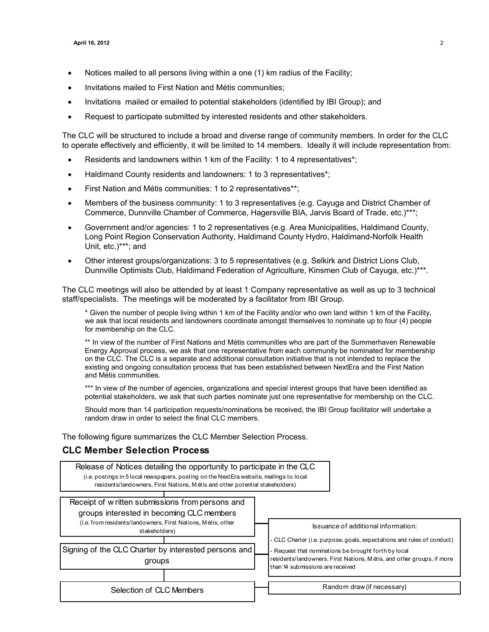- Notices mailed to all persons living within a one (1) km radius of the Facility;
- Invitations mailed to First Nation and Métis communities;
- Invitations mailed or emailed to potential stakeholders (identified by IBI Group); and
- Request to participate submitted by interested residents and other stakeholders.

The CLC will be structured to include a broad and diverse range of community members. In order for the CLC to operate effectively and efficiently, it will be limited to 14 members. Ideally it will include representation from:

- Residents and landowners within 1 km of the Facility: 1 to 4 representatives\*;
- Haldimand County residents and landowners: 1 to 3 representatives\*;
- First Nation and Métis communities: 1 to 2 representatives\*\*;
- Members of the business community: 1 to 3 representatives (e.g. Cayuga and District Chamber of Commerce, Dunnville Chamber of Commerce, Hagersville BIA, Jarvis Board of Trade, etc.)\*\*\*;
- Government and/or agencies: 1 to 2 representatives (e.g. Area Municipalities, Haldimand County, Long Point Region Conservation Authority, Haldimand County Hydro, Haldimand-Norfolk Health Unit, etc.)\*\*\*; and
- Other interest groups/organizations: 3 to 5 representatives (e.g. Selkirk and District Lions Club, Dunnville Optimists Club, Haldimand Federation of Agriculture, Kinsmen Club of Cayuga, etc.)\*\*\*.

The CLC meetings will also be attended by at least 1 Company representative as well as up to 3 technical staff/specialists. The meetings will be moderated by a facilitator from IBI Group.

\* Given the number of people living within 1 km of the Facility and/or who own land within 1 km of the Facility, we ask that local residents and landowners coordinate amongst themselves to nominate up to four (4) people for membership on the CLC.

\*\* In view of the number of First Nations and Métis communities who are part of the Summerhaven Renewable Energy Approval process, we ask that one representative from each community be nominated for membership on the CLC. The CLC is a separate and additional consultation initiative that is not intended to replace the existing and ongoing consultation process that has been established between NextEra and the First Nation and Métis communities.

\*\*\* In view of the number of agencies, organizations and special interest groups that have been identified as potential stakeholders, we ask that such parties nominate just one representative for membership on the CLC.

Should more than 14 participation requests/nominations be received, the IBI Group facilitator will undertake a random draw in order to select the final CLC members.

The following figure summarizes the CLC Member Selection Process.

## **CLC Member Selection Process**

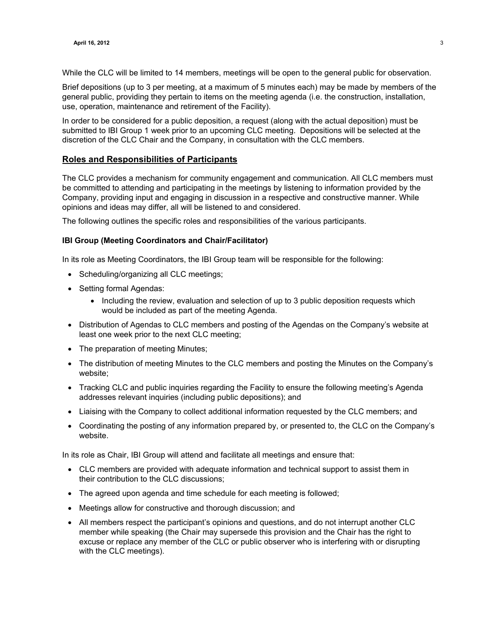While the CLC will be limited to 14 members, meetings will be open to the general public for observation.

Brief depositions (up to 3 per meeting, at a maximum of 5 minutes each) may be made by members of the general public, providing they pertain to items on the meeting agenda (i.e. the construction, installation, use, operation, maintenance and retirement of the Facility).

In order to be considered for a public deposition, a request (along with the actual deposition) must be submitted to IBI Group 1 week prior to an upcoming CLC meeting. Depositions will be selected at the discretion of the CLC Chair and the Company, in consultation with the CLC members.

### **Roles and Responsibilities of Participants**

The CLC provides a mechanism for community engagement and communication. All CLC members must be committed to attending and participating in the meetings by listening to information provided by the Company, providing input and engaging in discussion in a respective and constructive manner. While opinions and ideas may differ, all will be listened to and considered.

The following outlines the specific roles and responsibilities of the various participants.

#### **IBI Group (Meeting Coordinators and Chair/Facilitator)**

In its role as Meeting Coordinators, the IBI Group team will be responsible for the following:

- Scheduling/organizing all CLC meetings;
- Setting formal Agendas:
	- Including the review, evaluation and selection of up to 3 public deposition requests which would be included as part of the meeting Agenda.
- Distribution of Agendas to CLC members and posting of the Agendas on the Company's website at least one week prior to the next CLC meeting;
- The preparation of meeting Minutes;
- The distribution of meeting Minutes to the CLC members and posting the Minutes on the Company's website;
- Tracking CLC and public inquiries regarding the Facility to ensure the following meeting's Agenda addresses relevant inquiries (including public depositions); and
- Liaising with the Company to collect additional information requested by the CLC members; and
- Coordinating the posting of any information prepared by, or presented to, the CLC on the Company's website.

In its role as Chair, IBI Group will attend and facilitate all meetings and ensure that:

- CLC members are provided with adequate information and technical support to assist them in their contribution to the CLC discussions;
- The agreed upon agenda and time schedule for each meeting is followed;
- Meetings allow for constructive and thorough discussion; and
- All members respect the participant's opinions and questions, and do not interrupt another CLC member while speaking (the Chair may supersede this provision and the Chair has the right to excuse or replace any member of the CLC or public observer who is interfering with or disrupting with the CLC meetings).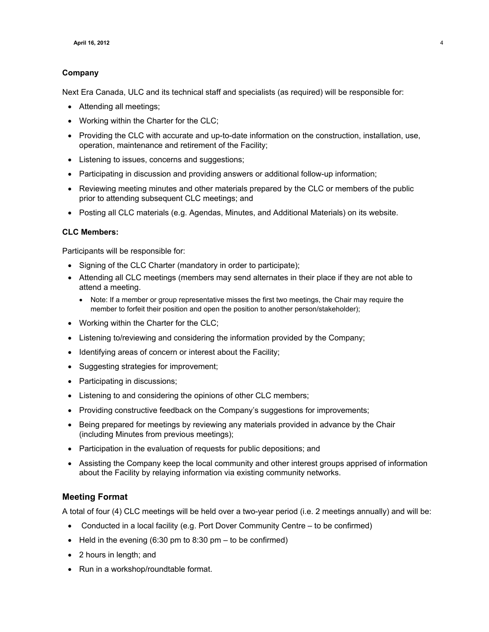### **Company**

Next Era Canada, ULC and its technical staff and specialists (as required) will be responsible for:

- Attending all meetings;
- Working within the Charter for the CLC;
- Providing the CLC with accurate and up-to-date information on the construction, installation, use, operation, maintenance and retirement of the Facility;
- Listening to issues, concerns and suggestions;
- Participating in discussion and providing answers or additional follow-up information;
- Reviewing meeting minutes and other materials prepared by the CLC or members of the public prior to attending subsequent CLC meetings; and
- Posting all CLC materials (e.g. Agendas, Minutes, and Additional Materials) on its website.

#### **CLC Members:**

Participants will be responsible for:

- Signing of the CLC Charter (mandatory in order to participate);
- Attending all CLC meetings (members may send alternates in their place if they are not able to attend a meeting.
	- Note: If a member or group representative misses the first two meetings, the Chair may require the member to forfeit their position and open the position to another person/stakeholder);
- Working within the Charter for the CLC;
- Listening to/reviewing and considering the information provided by the Company;
- Identifying areas of concern or interest about the Facility;
- Suggesting strategies for improvement;
- Participating in discussions;
- Listening to and considering the opinions of other CLC members;
- Providing constructive feedback on the Company's suggestions for improvements;
- Being prepared for meetings by reviewing any materials provided in advance by the Chair (including Minutes from previous meetings);
- Participation in the evaluation of requests for public depositions; and
- Assisting the Company keep the local community and other interest groups apprised of information about the Facility by relaying information via existing community networks.

### **Meeting Format**

A total of four (4) CLC meetings will be held over a two-year period (i.e. 2 meetings annually) and will be:

- Conducted in a local facility (e.g. Port Dover Community Centre to be confirmed)
- Held in the evening  $(6:30 \text{ pm} to 8:30 \text{ pm} \text{to be confirmed})$
- 2 hours in length; and
- Run in a workshop/roundtable format.